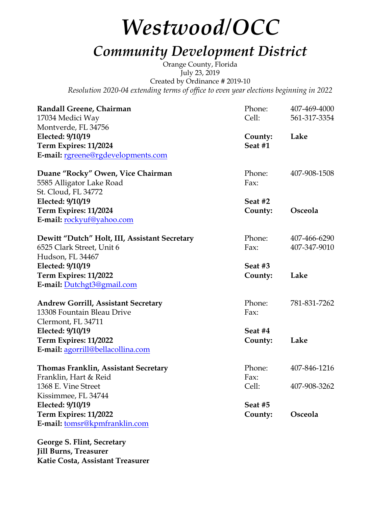# *Westwood/OCC*

## *Community Development District*

Orange County, Florida July 23, 2019 Created by Ordinance # 2019-10 *Resolution 2020-04 extending terms of office to even year elections beginning in 2022*

| Randall Greene, Chairman                      | Phone:  | 407-469-4000 |
|-----------------------------------------------|---------|--------------|
| 17034 Medici Way                              | Cell:   | 561-317-3354 |
| Montverde, FL 34756                           |         |              |
| Elected: 9/10/19                              | County: | Lake         |
| Term Expires: 11/2024                         | Seat #1 |              |
| E-mail: rgreene@rgdevelopments.com            |         |              |
| Duane "Rocky" Owen, Vice Chairman             | Phone:  | 407-908-1508 |
| 5585 Alligator Lake Road                      | Fax:    |              |
| St. Cloud, FL 34772                           |         |              |
| Elected: 9/10/19                              | Seat #2 |              |
| Term Expires: 11/2024                         | County: | Osceola      |
| E-mail: rockyuf@yahoo.com                     |         |              |
| Dewitt "Dutch" Holt, III, Assistant Secretary | Phone:  | 407-466-6290 |
| 6525 Clark Street, Unit 6                     | Fax:    | 407-347-9010 |
| Hudson, FL 34467                              |         |              |
| Elected: 9/10/19                              | Seat #3 |              |
| Term Expires: 11/2022                         | County: | Lake         |
| E-mail: Dutchgt3@gmail.com                    |         |              |
| <b>Andrew Gorrill, Assistant Secretary</b>    | Phone:  | 781-831-7262 |
| 13308 Fountain Bleau Drive                    | Fax:    |              |
| Clermont, FL 34711                            |         |              |
| Elected: 9/10/19                              | Seat #4 |              |
| Term Expires: 11/2022                         | County: | Lake         |
| E-mail: agorrill@bellacollina.com             |         |              |
| <b>Thomas Franklin, Assistant Secretary</b>   | Phone:  | 407-846-1216 |
| Franklin, Hart & Reid                         | Fax:    |              |
| 1368 E. Vine Street                           | Cell:   | 407-908-3262 |
| Kissimmee, FL 34744                           |         |              |
| Elected: 9/10/19                              | Seat #5 |              |
| Term Expires: 11/2022                         | County: | Osceola      |
| E-mail: tomsr@kpmfranklin.com                 |         |              |

**George S. Flint, Secretary Jill Burns, Treasurer Katie Costa, Assistant Treasurer**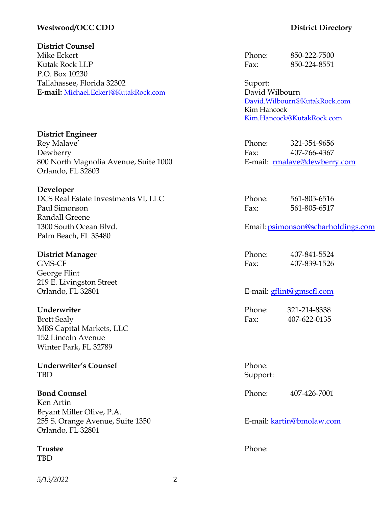#### **Westwood/OCC CDD District Directory**

#### **District Counsel**

Mike Eckert **Phone:** 850-222-7500 Kutak Rock LLP Fax: 850-224-8551 P.O. Box 10230 Tallahassee, Florida 32302 Suport: **E-mail:** Michael.Eckert@KutakRock.com David Wilbourn

#### **District Engineer** Rey Malave' Phone: 321-354-9656 Dewberry Fax: 407-766-4367 800 North Magnolia Avenue, Suite 1000 E-mail: rmalave@dewberry.com Orlando, FL 32803

#### **Developer**

DCS Real Estate Investments VI, LLC Phone: 561-805-6516 Paul Simonson Fax: 561-805-6517 Randall Greene Palm Beach, FL 33480

### **District Manager** George Flint 219 E. Livingston Street

#### **Underwriter**

Brett Sealy MBS Capital Markets, LLC 152 Lincoln Avenue Winter Park, FL 32789

#### **Underwriter's Counsel** Phone: TBD Support:

#### **Bond Counsel Phone:** 407-426-7001

Ken Artin Bryant Miller Olive, P.A. 255 S. Orange Avenue, Suite 1350 E-mail: kartin@bmolaw.com Orlando, FL 32801

### **Trustee** Phone:

TBD

#### *5/13/2022* 2

David.Wilbourn@KutakRock.com Kim Hancock Kim.Hancock@KutakRock.com

#### 1300 South Ocean Blvd. Email: psimonson@scharholdings.com

| District Manager | Phone: | 407-841-5524 |
|------------------|--------|--------------|
| GMS-CF           | Fax:   | 407-839-1526 |

#### Orlando, FL 32801 E-mail: gflint@gmscfl.com

| Phone: | 321-214-8338 |
|--------|--------------|
| Fax:   | 407-622-0135 |